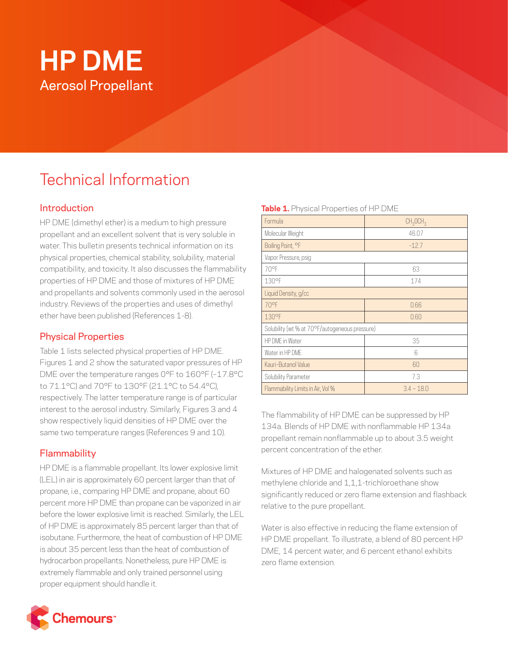# **HP DME** Aerosol Propellant

## Technical Information

#### Introduction

HP DME (dimethyl ether) is a medium to high pressure propellant and an excellent solvent that is very soluble in water. This bulletin presents technical information on its physical properties, chemical stability, solubility, material compatibility, and toxicity. It also discusses the flammability properties of HP DME and those of mixtures of HP DME and propellants and solvents commonly used in the aerosol industry. Reviews of the properties and uses of dimethyl ether have been published (References 1-8).

#### Physical Properties

Table 1 lists selected physical properties of HP DME. Figures 1 and 2 show the saturated vapor pressures of HP DME over the temperature ranges 0°F to 160°F (–17.8°C to 71.1°C) and 70°F to 130°F (21.1°C to 54.4°C), respectively. The latter temperature range is of particular interest to the aerosol industry. Similarly, Figures 3 and 4 show respectively liquid densities of HP DME over the same two temperature ranges (References 9 and 10).

### **Flammability**

HP DME is a flammable propellant. Its lower explosive limit (LEL) in air is approximately 60 percent larger than that of propane, i.e., comparing HP DME and propane, about 60 percent more HP DME than propane can be vaporized in air before the lower explosive limit is reached. Similarly, the LEL of HP DME is approximately 85 percent larger than that of isobutane. Furthermore, the heat of combustion of HP DME is about 35 percent less than the heat of combustion of hydrocarbon propellants. Nonetheless, pure HP DME is extremely flammable and only trained personnel using proper equipment should handle it.

#### **Table 1.** Physical Properties of HP DME

| Formula                                        | CH <sub>3</sub> OCH <sub>3</sub> |
|------------------------------------------------|----------------------------------|
| Molecular Weight                               | 46.07                            |
| Boiling Point, °F                              | $-12.7$                          |
| Vapor Pressure, psig                           |                                  |
| 70°F                                           | 63                               |
| 130°F                                          | 174                              |
| Liquid Density, g/cc                           |                                  |
| 70°F                                           | 0.66                             |
| 130°F                                          | 0.60                             |
| Solubility (wt % at 70°F/autogeneous pressure) |                                  |
| HP DME in Water                                | 35                               |
| Water in HP DMF                                | 6                                |
| Kauri-Butanol Value                            | 60                               |
| Solubility Parameter                           | 7.3                              |
| Flammability Limits in Air, Vol %              | $34 - 180$                       |

The flammability of HP DME can be suppressed by HP 134a. Blends of HP DME with nonflammable HP 134a propellant remain nonflammable up to about 3.5 weight percent concentration of the ether.

Mixtures of HP DME and halogenated solvents such as methylene chloride and 1,1,1-trichloroethane show significantly reduced or zero flame extension and flashback relative to the pure propellant.

Water is also effective in reducing the flame extension of HP DME propellant. To illustrate, a blend of 80 percent HP DME, 14 percent water, and 6 percent ethanol exhibits zero flame extension.

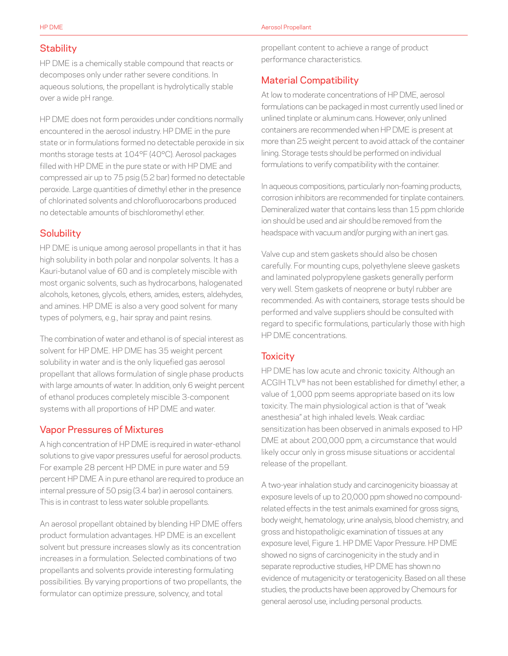#### **Stability**

HP DME is a chemically stable compound that reacts or decomposes only under rather severe conditions. In aqueous solutions, the propellant is hydrolytically stable over a wide pH range.

HP DME does not form peroxides under conditions normally encountered in the aerosol industry. HP DME in the pure state or in formulations formed no detectable peroxide in six months storage tests at 104°F (40°C). Aerosol packages filled with HP DME in the pure state or with HP DME and compressed air up to 75 psig (5.2 bar) formed no detectable peroxide. Large quantities of dimethyl ether in the presence of chlorinated solvents and chlorofluorocarbons produced no detectable amounts of bischloromethyl ether.

#### **Solubility**

HP DME is unique among aerosol propellants in that it has high solubility in both polar and nonpolar solvents. It has a Kauri-butanol value of 60 and is completely miscible with most organic solvents, such as hydrocarbons, halogenated alcohols, ketones, glycols, ethers, amides, esters, aldehydes, and amines. HP DME is also a very good solvent for many types of polymers, e.g., hair spray and paint resins.

The combination of water and ethanol is of special interest as solvent for HP DME. HP DME has 35 weight percent solubility in water and is the only liquefied gas aerosol propellant that allows formulation of single phase products with large amounts of water. In addition, only 6 weight percent of ethanol produces completely miscible 3-component systems with all proportions of HP DME and water.

#### Vapor Pressures of Mixtures

A high concentration of HP DME is required in water-ethanol solutions to give vapor pressures useful for aerosol products. For example 28 percent HP DME in pure water and 59 percent HP DME A in pure ethanol are required to produce an internal pressure of 50 psig (3.4 bar) in aerosol containers. This is in contrast to less water soluble propellants.

An aerosol propellant obtained by blending HP DME offers product formulation advantages. HP DME is an excellent solvent but pressure increases slowly as its concentration increases in a formulation. Selected combinations of two propellants and solvents provide interesting formulating possibilities. By varying proportions of two propellants, the formulator can optimize pressure, solvency, and total

propellant content to achieve a range of product performance characteristics.

#### Material Compatibility

At low to moderate concentrations of HP DME, aerosol formulations can be packaged in most currently used lined or unlined tinplate or aluminum cans. However, only unlined containers are recommended when HP DME is present at more than 25 weight percent to avoid attack of the container lining. Storage tests should be performed on individual formulations to verify compatibility with the container.

In aqueous compositions, particularly non-foaming products, corrosion inhibitors are recommended for tinplate containers. Demineralized water that contains less than 15 ppm chloride ion should be used and air should be removed from the headspace with vacuum and/or purging with an inert gas.

Valve cup and stem gaskets should also be chosen carefully. For mounting cups, polyethylene sleeve gaskets and laminated polypropylene gaskets generally perform very well. Stem gaskets of neoprene or butyl rubber are recommended. As with containers, storage tests should be performed and valve suppliers should be consulted with regard to specific formulations, particularly those with high HP DME concentrations.

#### **Toxicity**

HP DME has low acute and chronic toxicity. Although an ACGIH TLV® has not been established for dimethyl ether, a value of 1,000 ppm seems appropriate based on its low toxicity. The main physiological action is that of "weak anesthesia" at high inhaled levels. Weak cardiac sensitization has been observed in animals exposed to HP DME at about 200,000 ppm, a circumstance that would likely occur only in gross misuse situations or accidental release of the propellant.

A two-year inhalation study and carcinogenicity bioassay at exposure levels of up to 20,000 ppm showed no compoundrelated effects in the test animals examined for gross signs, body weight, hematology, urine analysis, blood chemistry, and gross and histopatholigic examination of tissues at any exposure level, Figure 1. HP DME Vapor Pressure. HP DME showed no signs of carcinogenicity in the study and in separate reproductive studies, HP DME has shown no evidence of mutagenicity or teratogenicity. Based on all these studies, the products have been approved by Chemours for general aerosol use, including personal products.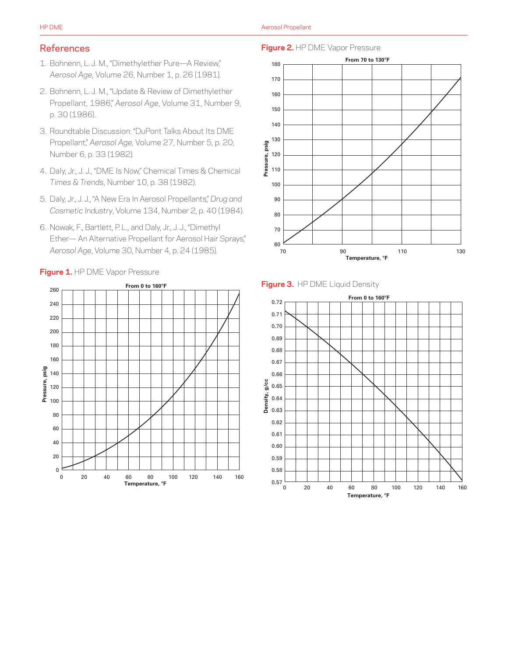#### References

- 1. Bohnenn, L. J. M., "Dimethylether Pure—A Review," *Aerosol Age*, Volume 26, Number 1, p. 26 (1981).
- 2. Bohnenn, L. J. M., "Update & Review of Dimethylether Propellant, 1986," *Aerosol Age*, Volume 31, Number 9, p. 30 (1986).
- 3. Roundtable Discussion: "DuPont Talks About Its DME Propellant," *Aerosol Age*, Volume 27, Number 5, p. 20; Number 6, p. 33 (1982).
- 4. Daly, Jr., J. J., "DME Is Now," Chemical Times & Chemical *Times & Trends*, Number 10, p. 38 (1982).
- 5. Daly, Jr., J. J., "A New Era In Aerosol Propellants," *Drug and Cosmetic Industry*, Volume 134, Number 2, p. 40 (1984).
- 6. Nowak, F., Bartlett, P. L., and Daly, Jr., J. J., "Dimethyl Ether— An Alternative Propellant for Aerosol Hair Sprays," *Aerosol Age*, Volume 30, Number 4, p. 24 (1985).



#### **Figure 2.** HP DME Vapor Pressure



#### **Figure 3.** HP DME Liquid Density